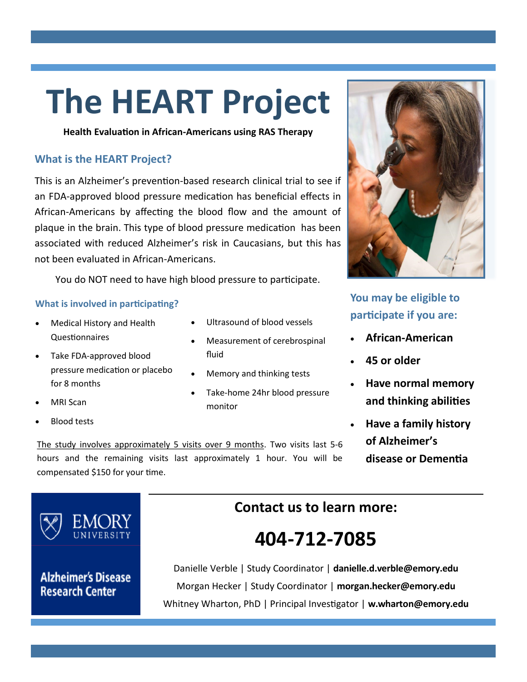# **The HEART Project**

**Health Evaluation in African-Americans using RAS Therapy**

#### **What is the HEART Project?**

This is an Alzheimer's prevention-based research clinical trial to see if an FDA-approved blood pressure medication has beneficial effects in African-Americans by affecting the blood flow and the amount of plaque in the brain. This type of blood pressure medication has been associated with reduced Alzheimer's risk in Caucasians, but this has not been evaluated in African-Americans.

You do NOT need to have high blood pressure to participate.

#### **What is involved in participating?**

- Medical History and Health Questionnaires
- Take FDA-approved blood pressure medication or placebo for 8 months
- MRI Scan
- Blood tests
- Ultrasound of blood vessels
- Measurement of cerebrospinal fluid
- Memory and thinking tests
- Take-home 24hr blood pressure monitor

The study involves approximately 5 visits over 9 months. Two visits last 5-6 hours and the remaining visits last approximately 1 hour. You will be compensated \$150 for your time.



**Alzheimer's Disease Research Center** 

### **Contact us to learn more:**

## **404-712-7085**

Danielle Verble | Study Coordinator | **danielle.d.verble@emory.edu** Morgan Hecker | Study Coordinator | **morgan.hecker@emory.edu** Whitney Wharton, PhD | Principal Investigator | **w.wharton@emory.edu** 



**You may be eligible to participate if you are:**

- **African-American**
- **45 or older**
- **Have normal memory and thinking abilities**
- **Have a family history of Alzheimer's disease or Dementia**